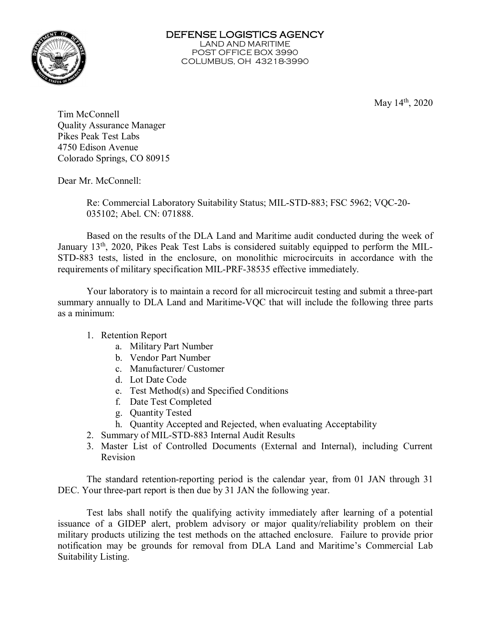

May  $14<sup>th</sup>$ , 2020

Tim McConnell Quality Assurance Manager Pikes Peak Test Labs 4750 Edison Avenue Colorado Springs, CO 80915

Dear Mr. McConnell:

Re: Commercial Laboratory Suitability Status; MIL-STD-883; FSC 5962; VQC-20- 035102; Abel. CN: 071888.

Based on the results of the DLA Land and Maritime audit conducted during the week of January 13<sup>th</sup>, 2020, Pikes Peak Test Labs is considered suitably equipped to perform the MIL-STD-883 tests, listed in the enclosure, on monolithic microcircuits in accordance with the requirements of military specification MIL-PRF-38535 effective immediately.

Your laboratory is to maintain a record for all microcircuit testing and submit a three-part summary annually to DLA Land and Maritime-VQC that will include the following three parts as a minimum:

## 1. Retention Report

- a. Military Part Number
- b. Vendor Part Number
- c. Manufacturer/ Customer
- d. Lot Date Code
- e. Test Method(s) and Specified Conditions
- f. Date Test Completed
- g. Quantity Tested
- h. Quantity Accepted and Rejected, when evaluating Acceptability
- 2. Summary of MIL-STD-883 Internal Audit Results
- 3. Master List of Controlled Documents (External and Internal), including Current Revision

The standard retention-reporting period is the calendar year, from 01 JAN through 31 DEC. Your three-part report is then due by 31 JAN the following year.

Test labs shall notify the qualifying activity immediately after learning of a potential issuance of a GIDEP alert, problem advisory or major quality/reliability problem on their military products utilizing the test methods on the attached enclosure. Failure to provide prior notification may be grounds for removal from DLA Land and Maritime's Commercial Lab Suitability Listing.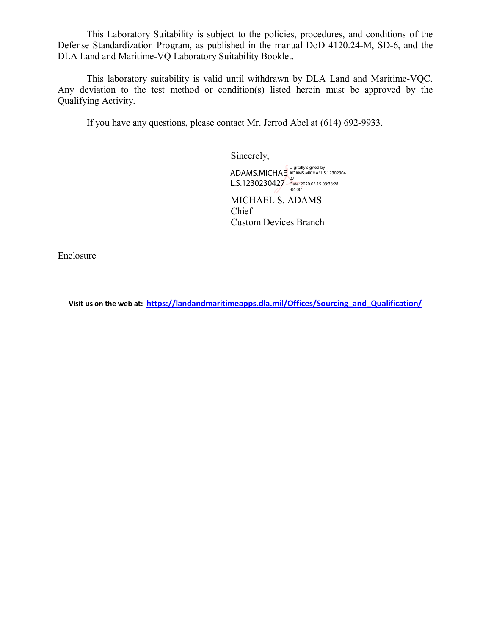This Laboratory Suitability is subject to the policies, procedures, and conditions of the Defense Standardization Program, as published in the manual DoD 4120.24-M, SD-6, and the DLA Land and Maritime-VQ Laboratory Suitability Booklet.

This laboratory suitability is valid until withdrawn by DLA Land and Maritime-VQC. Any deviation to the test method or condition(s) listed herein must be approved by the Qualifying Activity.

If you have any questions, please contact Mr. Jerrod Abel at (614) 692-9933.

Sincerely,

ADAMS.MICHAE ADAMS.MICHAEL.S.12302304 L.S.1230230427 Date: 2020.05.15 08:38:28 -04'00'

MICHAEL S. ADAMS Chief Custom Devices Branch

Enclosure

**Visit us on the web at: [https://landandmaritimeapps.dla.mil/Offices/Sourcing\\_and\\_Qualification/](https://landandmaritimeapps.dla.mil/Offices/Sourcing_and_Qualification/)**